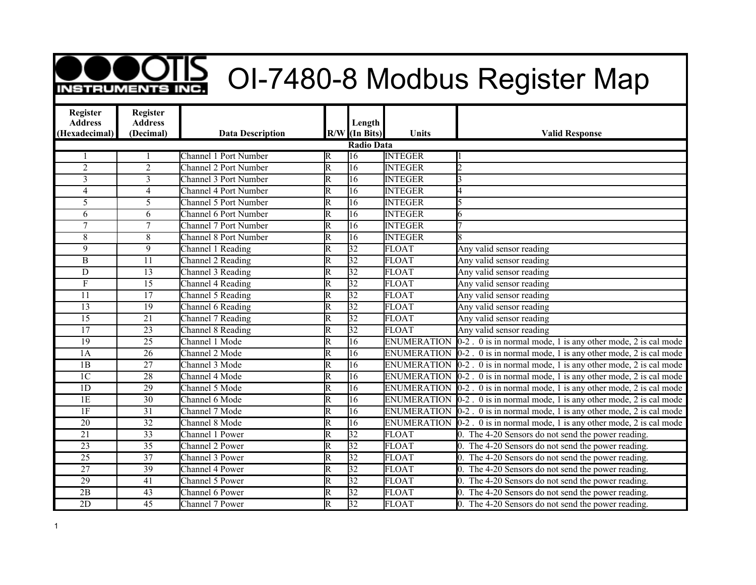## **OOTIS** OI-7480-8 Modbus Register Map

| <b>Register</b><br><b>Address</b> | <b>Register</b><br><b>Address</b> |                              |                         | Length            |                    |                                                                               |
|-----------------------------------|-----------------------------------|------------------------------|-------------------------|-------------------|--------------------|-------------------------------------------------------------------------------|
| (Hexadecimal)                     | (Decimal)                         | <b>Data Description</b>      |                         | $R/W$ (In Bits)   | Units              | <b>Valid Response</b>                                                         |
|                                   |                                   |                              |                         | <b>Radio Data</b> |                    |                                                                               |
|                                   |                                   | <b>Channel 1 Port Number</b> | R                       | 16                | <b>INTEGER</b>     |                                                                               |
| $\overline{2}$                    | $\overline{2}$                    | <b>Channel 2 Port Number</b> | $\overline{\mathrm{R}}$ | 16                | <b>INTEGER</b>     | h                                                                             |
| $\overline{3}$                    | $\overline{3}$                    | Channel 3 Port Number        | $\overline{\mathrm{R}}$ | $\overline{16}$   | <b>INTEGER</b>     |                                                                               |
| $\overline{4}$                    | $\overline{4}$                    | Channel 4 Port Number        | $\overline{\mathrm{R}}$ | $\overline{16}$   | <b>INTEGER</b>     |                                                                               |
| $\overline{5}$                    | $\overline{5}$                    | <b>Channel 5 Port Number</b> | $\overline{\mathrm{R}}$ | 16                | <b>INTEGER</b>     |                                                                               |
| 6                                 | 6                                 | <b>Channel 6 Port Number</b> | $\overline{\mathsf{R}}$ | 16                | <b>INTEGER</b>     | 6                                                                             |
| $\overline{7}$                    | $\overline{7}$                    | <b>Channel 7 Port Number</b> | $\overline{\mathsf{R}}$ | 16                | <b>INTEGER</b>     |                                                                               |
| $\,8\,$                           | 8                                 | <b>Channel 8 Port Number</b> | $\overline{\mathrm{R}}$ | 16                | <b>INTEGER</b>     |                                                                               |
| 9                                 | $\overline{9}$                    | Channel 1 Reading            | $\overline{\mathrm{R}}$ | 32                | <b>FLOAT</b>       | Any valid sensor reading                                                      |
| B                                 | $\overline{11}$                   | Channel 2 Reading            | $\overline{\mathrm{R}}$ | $\overline{32}$   | <b>FLOAT</b>       | Any valid sensor reading                                                      |
| $\mathbf D$                       | $\overline{13}$                   | Channel 3 Reading            | $\overline{\mathrm{R}}$ | 32                | <b>FLOAT</b>       | Any valid sensor reading                                                      |
| $\boldsymbol{\mathrm{F}}$         | $\overline{15}$                   | Channel 4 Reading            | $\overline{\mathrm{R}}$ | $\overline{32}$   | <b>FLOAT</b>       | Any valid sensor reading                                                      |
| $\overline{11}$                   | $\overline{17}$                   | Channel 5 Reading            | $\overline{\mathtt{R}}$ | $\overline{32}$   | <b>FLOAT</b>       | Any valid sensor reading                                                      |
| $\overline{13}$                   | $\overline{19}$                   | Channel 6 Reading            | $\overline{\mathsf{R}}$ | $\overline{32}$   | <b>FLOAT</b>       | Any valid sensor reading                                                      |
| $\overline{15}$                   | 21                                | Channel 7 Reading            | $\overline{\mathsf{R}}$ | $\overline{32}$   | <b>FLOAT</b>       | Any valid sensor reading                                                      |
| $\overline{17}$                   | $\overline{23}$                   | Channel 8 Reading            | $\overline{\mathrm{R}}$ | $\overline{32}$   | <b>FLOAT</b>       | Any valid sensor reading                                                      |
| 19                                | $\overline{25}$                   | Channel 1 Mode               | $\overline{\mathrm{R}}$ | 16                |                    | ENUMERATION $[0-2]$ . 0 is in normal mode, 1 is any other mode, 2 is cal mode |
| 1A                                | $\overline{26}$                   | Channel 2 Mode               | $\overline{\mathrm{R}}$ | $\overline{16}$   |                    | ENUMERATION $[0-2]$ . 0 is in normal mode, 1 is any other mode, 2 is cal mode |
| 1B                                | $\overline{27}$                   | Channel 3 Mode               | $\overline{\mathrm{R}}$ | 16                |                    | ENUMERATION $[0-2]$ . 0 is in normal mode, 1 is any other mode, 2 is cal mode |
| 1 <sup>C</sup>                    | $\overline{28}$                   | Channel 4 Mode               | $\overline{\mathsf{R}}$ | 16                |                    | ENUMERATION $[0-2]$ . 0 is in normal mode, 1 is any other mode, 2 is cal mode |
| 1D                                | 29                                | Channel 5 Mode               | $\overline{\mathtt{R}}$ | 16                | <b>ENUMERATION</b> | $0-2$ . 0 is in normal mode, 1 is any other mode, 2 is cal mode               |
| 1E                                | $\overline{30}$                   | Channel 6 Mode               | $\overline{\mathrm{R}}$ | $\overline{16}$   | <b>ENUMERATION</b> | $0-2$ . 0 is in normal mode, 1 is any other mode, 2 is cal mode               |
| 1F                                | $\overline{31}$                   | Channel 7 Mode               | $\overline{\mathrm{R}}$ | $\overline{16}$   | <b>ENUMERATION</b> | $0-2$ . 0 is in normal mode, 1 is any other mode, 2 is cal mode               |
| $\overline{20}$                   | $\overline{32}$                   | Channel 8 Mode               | $\overline{\mathrm{R}}$ | $\overline{16}$   | <b>ENUMERATION</b> | $0-2$ . 0 is in normal mode, 1 is any other mode, 2 is cal mode               |
| $\overline{21}$                   | $\overline{33}$                   | Channel 1 Power              | $\overline{\mathrm{R}}$ | $\overline{32}$   | <b>FLOAT</b>       | 0. The 4-20 Sensors do not send the power reading.                            |
| $\overline{23}$                   | $\overline{35}$                   | Channel 2 Power              | $\overline{\mathrm{R}}$ | 32                | <b>FLOAT</b>       | 0. The 4-20 Sensors do not send the power reading.                            |
| $\overline{25}$                   | $\overline{37}$                   | Channel 3 Power              | $\overline{\mathrm{R}}$ | $\overline{32}$   | <b>FLOAT</b>       | 0. The 4-20 Sensors do not send the power reading.                            |
| $\overline{27}$                   | $\overline{39}$                   | Channel 4 Power              | $\overline{\mathrm{R}}$ | $\overline{32}$   | <b>FLOAT</b>       | 0. The 4-20 Sensors do not send the power reading.                            |
| 29                                | 41                                | Channel 5 Power              | $\overline{\mathrm{R}}$ | $\overline{32}$   | <b>FLOAT</b>       | 0. The 4-20 Sensors do not send the power reading.                            |
| $\overline{2B}$                   | 43                                | Channel 6 Power              | $\overline{\mathrm{R}}$ | $\overline{32}$   | <b>FLOAT</b>       | 0. The 4-20 Sensors do not send the power reading.                            |
| 2D                                | 45                                | Channel 7 Power              | $\overline{\mathsf{R}}$ | 32                | <b>FLOAT</b>       | 0. The 4-20 Sensors do not send the power reading.                            |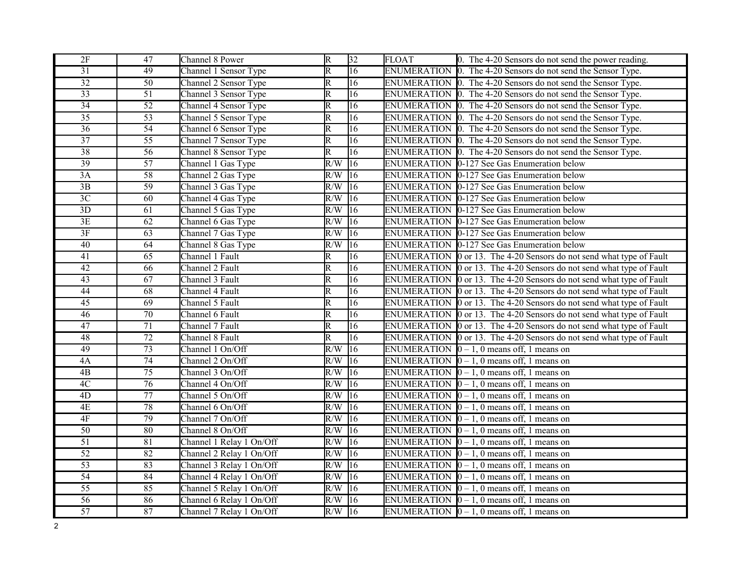| 2F              | 47              | Channel 8 Power          | $\overline{\mathbb{R}}$ | 32              | <b>FLOAT</b> | 0. The 4-20 Sensors do not send the power reading.                   |
|-----------------|-----------------|--------------------------|-------------------------|-----------------|--------------|----------------------------------------------------------------------|
| $\overline{31}$ | 49              | Channel 1 Sensor Type    | $\overline{\mathrm{R}}$ | $\overline{16}$ |              | ENUMERATION 0. The 4-20 Sensors do not send the Sensor Type.         |
| $\overline{32}$ | $\overline{50}$ | Channel 2 Sensor Type    | R                       | $\overline{16}$ |              | ENUMERATION 0. The 4-20 Sensors do not send the Sensor Type.         |
| $\overline{33}$ | $\overline{51}$ | Channel 3 Sensor Type    | $\overline{\mathsf{R}}$ | $\overline{16}$ |              | ENUMERATION $\vert$ 0. The 4-20 Sensors do not send the Sensor Type. |
| $\overline{34}$ | $\overline{52}$ | Channel 4 Sensor Type    | $\overline{\mathbb{R}}$ | $\overline{16}$ |              | ENUMERATION 0. The 4-20 Sensors do not send the Sensor Type.         |
| $\overline{35}$ | 53              | Channel 5 Sensor Type    | $\overline{\mathrm{R}}$ | 16              |              | ENUMERATION $\vert$ 0. The 4-20 Sensors do not send the Sensor Type. |
| $\overline{36}$ | $\overline{54}$ | Channel 6 Sensor Type    | $\overline{\mathrm{R}}$ | $\overline{16}$ |              | ENUMERATION 0. The 4-20 Sensors do not send the Sensor Type.         |
| $\overline{37}$ | $\overline{55}$ | Channel 7 Sensor Type    | $\overline{\mathsf{R}}$ | $\overline{16}$ |              | ENUMERATION 0. The 4-20 Sensors do not send the Sensor Type.         |
| 38              | 56              | Channel 8 Sensor Type    | $\overline{\mathrm{R}}$ | 16              |              | ENUMERATION 0. The 4-20 Sensors do not send the Sensor Type.         |
| 39              | $\overline{57}$ | Channel 1 Gas Type       | R/W                     | $\overline{16}$ |              | ENUMERATION 0-127 See Gas Enumeration below                          |
| 3A              | 58              | Channel 2 Gas Type       | R/W                     | $\overline{16}$ |              | ENUMERATION 0-127 See Gas Enumeration below                          |
| 3B              | 59              | Channel 3 Gas Type       | R/W                     | 16              |              | ENUMERATION 0-127 See Gas Enumeration below                          |
| $\overline{3C}$ | 60              | Channel 4 Gas Type       | R/W                     | $ 16\rangle$    |              | ENUMERATION 0-127 See Gas Enumeration below                          |
| $\overline{3D}$ | $\overline{61}$ | Channel 5 Gas Type       | R/W                     | $\overline{16}$ |              | ENUMERATION 0-127 See Gas Enumeration below                          |
| 3E              | 62              | Channel 6 Gas Type       | R/W                     | 16              |              | ENUMERATION 0-127 See Gas Enumeration below                          |
| 3F              | $\overline{63}$ | Channel 7 Gas Type       | R/W                     | $\overline{16}$ |              | ENUMERATION 0-127 See Gas Enumeration below                          |
| 40              | 64              | Channel 8 Gas Type       | R/W                     | $\overline{16}$ |              | ENUMERATION 0-127 See Gas Enumeration below                          |
| 41              | 65              | Channel 1 Fault          | $\overline{\mathsf{R}}$ | $\overline{16}$ |              | ENUMERATION 0 or 13. The 4-20 Sensors do not send what type of Fault |
| 42              | 66              | Channel 2 Fault          | $\overline{\mathsf{R}}$ | $\overline{16}$ |              | ENUMERATION 0 or 13. The 4-20 Sensors do not send what type of Fault |
| $\overline{43}$ | 67              | Channel 3 Fault          | $\overline{\mathbb{R}}$ | $\overline{16}$ |              | ENUMERATION 0 or 13. The 4-20 Sensors do not send what type of Fault |
| 44              | 68              | Channel 4 Fault          | $\overline{\mathrm{R}}$ | $\overline{16}$ |              | ENUMERATION 0 or 13. The 4-20 Sensors do not send what type of Fault |
| $\overline{45}$ | 69              | Channel 5 Fault          | $\overline{\mathrm{R}}$ | $\overline{16}$ |              | ENUMERATION 0 or 13. The 4-20 Sensors do not send what type of Fault |
| 46              | $\overline{70}$ | Channel 6 Fault          | $\overline{\mathbb{R}}$ | $\overline{16}$ |              | ENUMERATION 0 or 13. The 4-20 Sensors do not send what type of Fault |
| $\overline{47}$ | $\overline{71}$ | Channel 7 Fault          | $\overline{\mathbb{R}}$ | $\overline{16}$ |              | ENUMERATION 0 or 13. The 4-20 Sensors do not send what type of Fault |
| 48              | $\overline{72}$ | Channel 8 Fault          | $\overline{\mathrm{R}}$ | $\overline{16}$ |              | ENUMERATION 0 or 13. The 4-20 Sensors do not send what type of Fault |
| 49              | $\overline{73}$ | Channel 1 On/Off         | R/W                     | $ 16\rangle$    |              | ENUMERATION $[0 - 1, 0$ means off, 1 means on                        |
| 4A              | $\overline{74}$ | Channel 2 On/Off         | R/W                     | $\overline{16}$ |              | ENUMERATION $[0 - 1, 0$ means off, 1 means on                        |
| $\overline{AB}$ | $\overline{75}$ | Channel 3 On/Off         | R/W                     | $ 16\rangle$    |              | ENUMERATION $\vert 0 - 1$ , 0 means off, 1 means on                  |
| 4C              | $\overline{76}$ | Channel 4 On/Off         | R/W                     | 16              |              | ENUMERATION $\vert 0-1, 0 \vert$ means off, 1 means on               |
| $\overline{4D}$ | $\overline{77}$ | Channel 5 On/Off         | R/W                     | $ 16\rangle$    |              | ENUMERATION $\vert 0-1, 0 \vert$ means off, 1 means on               |
| 4E              | 78              | Channel 6 On/Off         | R/W                     | $ 16\rangle$    |              | ENUMERATION $\vert 0-1, 0 \vert$ means off, 1 means on               |
| 4F              | $\overline{79}$ | Channel 7 On/Off         | R/W                     | 16              |              | ENUMERATION $\vert 0 - 1, 0 \rangle$ means off, 1 means on           |
| $\overline{50}$ | $\overline{80}$ | Channel 8 On/Off         | $\overline{R/W}$        | $\overline{16}$ |              | ENUMERATION $[0 - 1, 0$ means off, 1 means on                        |
| $\overline{51}$ | $\overline{81}$ | Channel 1 Relay 1 On/Off | R/W                     | 16              |              | ENUMERATION $\vert 0-1, 0 \vert$ means off, 1 means on               |
| 52              | $\overline{82}$ | Channel 2 Relay 1 On/Off | R/W                     | 16              |              | ENUMERATION $[0 - 1, 0$ means off, 1 means on                        |
| $\overline{53}$ | 83              | Channel 3 Relay 1 On/Off | R/W                     | $\overline{16}$ |              | ENUMERATION $\vert 0-1, 0 \vert$ means off, 1 means on               |
| 54              | 84              | Channel 4 Relay 1 On/Off | R/W                     | 16              |              | ENUMERATION $[0 - 1, 0$ means off, 1 means on                        |
| 55              | 85              | Channel 5 Relay 1 On/Off | R/W                     | 16              |              | ENUMERATION $\vert 0-1, 0 \vert$ means off, 1 means on               |
| $\overline{56}$ | 86              | Channel 6 Relay 1 On/Off | R/W                     | $ 16\rangle$    |              | ENUMERATION $\vert 0-1, 0 \vert$ means off, 1 means on               |
| 57              | 87              | Channel 7 Relay 1 On/Off | $R/W$ 16                |                 |              | ENUMERATION $[0 - 1, 0$ means off, 1 means on                        |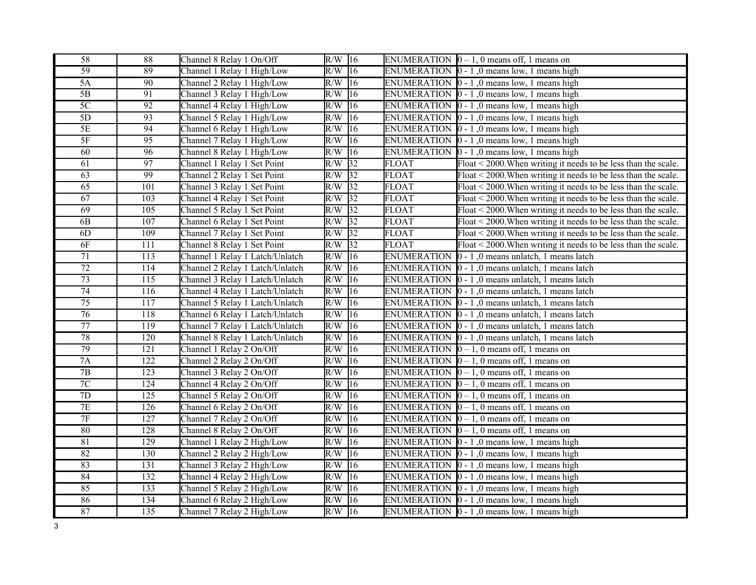| 58              | 88               | Channel 8 Relay 1 On/Off        | $R/W$ 16 |                 |                    | ENUMERATION $\vert 0-1, 0 \vert$ means off, 1 means on              |
|-----------------|------------------|---------------------------------|----------|-----------------|--------------------|---------------------------------------------------------------------|
| $\overline{59}$ | 89               | Channel 1 Relay 1 High/Low      | $R/W$ 16 |                 |                    | ENUMERATION $\vert 0 - 1 \vert$ , 0 means low, 1 means high         |
| 5A              | $\overline{90}$  | Channel 2 Relay 1 High/Low      | $R/W$ 16 |                 |                    | ENUMERATION $\vert 0 - 1 \vert$ , 0 means low, 1 means high         |
| $\overline{5B}$ | 91               | Channel 3 Relay 1 High/Low      | R/W      | 16              |                    | ENUMERATION $\vert 0 - 1 \vert$ , 0 means low, 1 means high         |
| $\overline{5C}$ | $\overline{92}$  | Channel 4 Relay 1 High/Low      | R/W      | 16              |                    | ENUMERATION $\vert 0 - 1 \vert$ , 0 means low, 1 means high         |
| 5D              | 93               | Channel 5 Relay 1 High/Low      | R/W      | 16              |                    | ENUMERATION $\vert 0 - 1 \vert$ , 0 means low, 1 means high         |
| $\overline{5E}$ | 94               | Channel 6 Relay 1 High/Low      | R/W      | 16              |                    | ENUMERATION $\vert 0 - 1 \vert$ , 0 means low, 1 means high         |
| $5F$            | 95               | Channel 7 Relay 1 High/Low      | R/W      | $ 16\rangle$    |                    | ENUMERATION $\vert 0 - 1 \vert$ , 0 means low, 1 means high         |
| 60              | 96               | Channel 8 Relay 1 High/Low      | R/W      | 16              |                    | ENUMERATION $\vert 0 - 1 \vert$ , 0 means low, 1 means high         |
| $\overline{61}$ | $\overline{97}$  | Channel 1 Relay 1 Set Point     | R/W      | 32              | <b>FLOAT</b>       | Float < 2000. When writing it needs to be less than the scale.      |
| 63              | 99               | Channel 2 Relay 1 Set Point     | R/W      | $\overline{32}$ | <b>FLOAT</b>       | $F$ loat < 2000. When writing it needs to be less than the scale.   |
| 65              | 101              | Channel 3 Relay 1 Set Point     | R/W      | 32              | <b>FLOAT</b>       | Float < 2000. When writing it needs to be less than the scale.      |
| 67              | 103              | Channel 4 Relay 1 Set Point     | R/W      | $\overline{32}$ | <b>FLOAT</b>       | Float < 2000. When writing it needs to be less than the scale.      |
| 69              | 105              | Channel 5 Relay 1 Set Point     | $R/W$ 32 |                 | <b>FLOAT</b>       | Float < 2000. When writing it needs to be less than the scale.      |
| 6B              | 107              | Channel 6 Relay 1 Set Point     | $R/W$ 32 |                 | <b>FLOAT</b>       | Float $\leq$ 2000. When writing it needs to be less than the scale. |
| 6D              | 109              | Channel 7 Relay 1 Set Point     | R/W      | $\sqrt{32}$     | <b>FLOAT</b>       | Float < 2000. When writing it needs to be less than the scale.      |
| 6F              | 111              | Channel 8 Relay 1 Set Point     | R/W      | $\overline{32}$ | <b>FLOAT</b>       | $F$ loat < 2000. When writing it needs to be less than the scale.   |
| $\overline{71}$ | 113              | Channel 1 Relay 1 Latch/Unlatch | R/W      | 16              | <b>ENUMERATION</b> | $0 - 1$ , 0 means unlatch, 1 means latch                            |
| $\overline{72}$ | 114              | Channel 2 Relay 1 Latch/Unlatch | R/W      | $ 16\rangle$    |                    | ENUMERATION $\vert 0 - 1 \vert$ , 0 means unlatch, 1 means latch    |
| $\overline{73}$ | 115              | Channel 3 Relay 1 Latch/Unlatch | R/W      | 16              |                    | ENUMERATION $\vert 0 - 1 \vert$ , 0 means unlatch, 1 means latch    |
| $\overline{74}$ | 116              | Channel 4 Relay 1 Latch/Unlatch | R/W      | 16              |                    | ENUMERATION 0 - 1,0 means unlatch, 1 means latch                    |
| $\overline{75}$ | $\overline{117}$ | Channel 5 Relay 1 Latch/Unlatch | R/W      | 16              |                    | ENUMERATION $\vert 0 - 1 \vert$ , 0 means unlatch, 1 means latch    |
| $\overline{76}$ | 118              | Channel 6 Relay 1 Latch/Unlatch | R/W      | $ 16\rangle$    |                    | ENUMERATION $\vert 0 - 1 \vert$ , 0 means unlatch, 1 means latch    |
| $\overline{77}$ | 119              | Channel 7 Relay 1 Latch/Unlatch | R/W      | $\overline{16}$ |                    | ENUMERATION 0 - 1,0 means unlatch, 1 means latch                    |
| 78              | 120              | Channel 8 Relay 1 Latch/Unlatch | R/W      | $ 16\rangle$    |                    | ENUMERATION $\vert 0 - 1 \vert$ , 0 means unlatch, 1 means latch    |
| 79              | 121              | Channel 1 Relay 2 On/Off        | R/W      | 16              |                    | ENUMERATION $\vert 0 - 1$ , 0 means off, 1 means on                 |
| 7A              | 122              | Channel 2 Relay 2 On/Off        | R/W      | 16              |                    | ENUMERATION $[0 - 1, 0$ means off, 1 means on                       |
| $\overline{7B}$ | 123              | Channel 3 Relay 2 On/Off        | R/W      | 16              |                    | ENUMERATION $[0 - 1, 0$ means off, 1 means on                       |
| 7C              | 124              | Channel 4 Relay 2 On/Off        | R/W      | 16              |                    | ENUMERATION $[0 - 1, 0$ means off, 1 means on                       |
| $\overline{7D}$ | 125              | Channel 5 Relay 2 On/Off        | R/W      | 16              |                    | ENUMERATION $[0 - 1, 0$ means off, 1 means on                       |
| 7E              | $\overline{126}$ | Channel 6 Relay 2 On/Off        | R/W      | $ 16\rangle$    |                    | ENUMERATION $\vert 0-1, 0 \vert$ means off, 1 means on              |
| $7\mathrm{F}$   | 127              | Channel 7 Relay 2 On/Off        | R/W      | 16              |                    | ENUMERATION $[0 - 1, 0$ means off, 1 means on                       |
| 80              | 128              | Channel 8 Relay 2 On/Off        | R/W      | $ 16\rangle$    |                    | ENUMERATION $\vert 0-1, 0 \vert$ means off, 1 means on              |
| 81              | 129              | Channel 1 Relay 2 High/Low      | R/W      | 16              |                    | ENUMERATION $\vert 0 - 1 \vert$ , 0 means low, 1 means high         |
| 82              | 130              | Channel 2 Relay 2 High/Low      | R/W      | 16              |                    | ENUMERATION $\vert 0 - 1 \vert$ , 0 means low, 1 means high         |
| 83              | 131              | Channel 3 Relay 2 High/Low      | R/W      | 16              |                    | ENUMERATION $\vert 0 - 1 \vert$ , 0 means low, 1 means high         |
| 84              | 132              | Channel 4 Relay 2 High/Low      | R/W      | 16              |                    | ENUMERATION $\vert 0 - 1 \vert$ , 0 means low, 1 means high         |
| 85              | 133              | Channel 5 Relay 2 High/Low      | R/W      | 16              |                    | ENUMERATION $\vert 0 - 1 \vert$ , 0 means low, 1 means high         |
| 86              | 134              | Channel 6 Relay 2 High/Low      | R/W      | 16              |                    | ENUMERATION $\vert 0 - 1 \vert$ , 0 means low, 1 means high         |
| 87              | 135              | Channel 7 Relay 2 High/Low      | $R/W$ 16 |                 |                    | ENUMERATION $\vert 0 - 1 \vert$ , 0 means low, 1 means high         |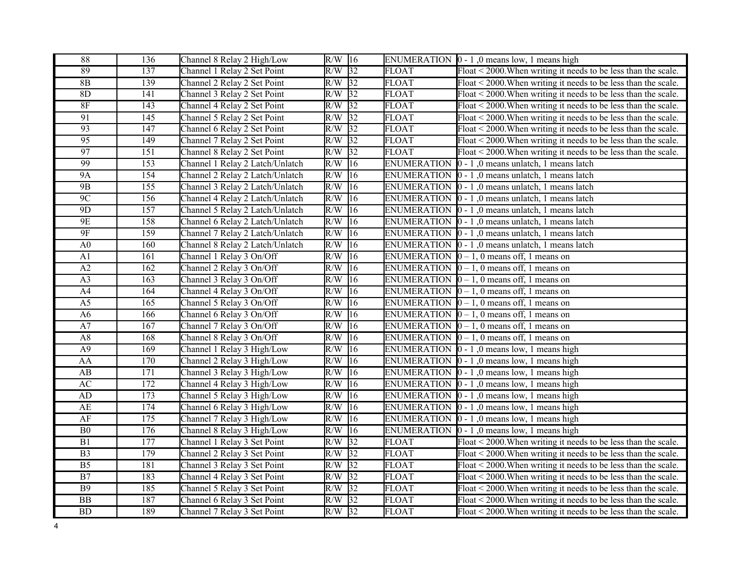| 88                     | 136              | Channel 8 Relay 2 High/Low      | $R/W$ 16         |                 |                    | ENUMERATION $\vert 0 - 1 \vert$ , 0 means low, 1 means high         |
|------------------------|------------------|---------------------------------|------------------|-----------------|--------------------|---------------------------------------------------------------------|
| 89                     | 137              | Channel 1 Relay 2 Set Point     | R/W              | $\overline{32}$ | <b>FLOAT</b>       | Float < 2000. When writing it needs to be less than the scale.      |
| 8B                     | 139              | Channel 2 Relay 2 Set Point     | R/W              | $\sqrt{32}$     | <b>FLOAT</b>       | Float $\leq$ 2000. When writing it needs to be less than the scale. |
| 8D                     | 141              | Channel 3 Relay 2 Set Point     | R/W              | 32              | <b>FLOAT</b>       | Float $\leq$ 2000. When writing it needs to be less than the scale. |
| 8F                     | 143              | Channel 4 Relay 2 Set Point     | R/W              | 32              | <b>FLOAT</b>       | Float < 2000. When writing it needs to be less than the scale.      |
| 91                     | 145              | Channel 5 Relay 2 Set Point     | R/W              | 32              | <b>FLOAT</b>       | Float < 2000. When writing it needs to be less than the scale.      |
| 93                     | 147              | Channel 6 Relay 2 Set Point     | R/W              | 32              | <b>FLOAT</b>       | Float < 2000. When writing it needs to be less than the scale.      |
| 95                     | 149              | Channel 7 Relay 2 Set Point     | R/W              | 32              | <b>FLOAT</b>       | Float < 2000. When writing it needs to be less than the scale.      |
| $\overline{97}$        | 151              | Channel 8 Relay 2 Set Point     | R/W              | 32              | <b>FLOAT</b>       | Float < 2000. When writing it needs to be less than the scale.      |
| 99                     | 153              | Channel 1 Relay 2 Latch/Unlatch | R/W              | $\overline{16}$ | <b>ENUMERATION</b> | $0 - 1$ , 0 means unlatch, 1 means latch                            |
| 9A                     | $\overline{154}$ | Channel 2 Relay 2 Latch/Unlatch | R/W              | 16              | <b>ENUMERATION</b> | $ 0 - 1 $ , 0 means unlatch, 1 means latch                          |
| 9B                     | 155              | Channel 3 Relay 2 Latch/Unlatch | R/W              | $\overline{16}$ | <b>ENUMERATION</b> | $0 - 1$ , 0 means unlatch, 1 means latch                            |
| 9 <sup>C</sup>         | 156              | Channel 4 Relay 2 Latch/Unlatch | R/W              | 16              | <b>ENUMERATION</b> | $\vert$ 0 - 1,0 means unlatch, 1 means latch                        |
| 9D                     | 157              | Channel 5 Relay 2 Latch/Unlatch | R/W              | 16              | <b>ENUMERATION</b> | $0 - 1$ , 0 means unlatch, 1 means latch                            |
| 9E                     | 158              | Channel 6 Relay 2 Latch/Unlatch | R/W              | 16              |                    | ENUMERATION $\vert 0 - 1 \vert$ , 0 means unlatch, 1 means latch    |
| 9F                     | 159              | Channel 7 Relay 2 Latch/Unlatch | R/W              | 16              | <b>ENUMERATION</b> | $0 - 1$ , 0 means unlatch, 1 means latch                            |
| A <sub>0</sub>         | 160              | Channel 8 Relay 2 Latch/Unlatch | R/W              | $ 16\rangle$    |                    | ENUMERATION $\vert 0 - 1 \vert$ , 0 means unlatch, 1 means latch    |
| A <sub>1</sub>         | 161              | Channel 1 Relay 3 On/Off        | R/W              | 16              | <b>ENUMERATION</b> | $0-1$ , 0 means off, 1 means on                                     |
| A2                     | 162              | Channel 2 Relay 3 On/Off        | R/W              | 16              |                    | ENUMERATION $[0 - 1, 0$ means off, 1 means on                       |
| $\overline{A3}$        | 163              | Channel 3 Relay 3 On/Off        | R/W              | $\overline{16}$ | <b>ENUMERATION</b> | $\boxed{0-1}$ , 0 means off, 1 means on                             |
| A4                     | 164              | Channel 4 Relay 3 On/Off        | R/W              | 16              | <b>ENUMERATION</b> | $0-1$ , 0 means off, 1 means on                                     |
| A <sub>5</sub>         | 165              | Channel 5 Relay 3 On/Off        | R/W              | 16              | <b>ENUMERATION</b> | $0-1$ , 0 means off, 1 means on                                     |
| A <sub>6</sub>         | 166              | Channel 6 Relay 3 On/Off        | R/W              | $\overline{16}$ |                    | ENUMERATION $[0 - 1, 0$ means off, 1 means on                       |
| A7                     | 167              | Channel 7 Relay 3 On/Off        | R/W              | 16              |                    | ENUMERATION $\vert 0-1, 0 \vert$ means off, 1 means on              |
| $\rm A8$               | 168              | Channel 8 Relay 3 On/Off        | R/W              | 16              |                    | ENUMERATION $[0 - 1, 0$ means off, 1 means on                       |
| $\overline{A9}$        | 169              | Channel 1 Relay 3 High/Low      | R/W              | 16              |                    | ENUMERATION $\vert 0 - 1 \vert$ , 0 means low, 1 means high         |
| AA                     | 170              | Channel 2 Relay 3 High/Low      | R/W              | 16              |                    | ENUMERATION $\vert 0 - 1 \vert$ , 0 means low, 1 means high         |
| AB                     | 171              | Channel 3 Relay 3 High/Low      | R/W              | 16              |                    | ENUMERATION $\vert 0 - 1 \vert$ , 0 means low, 1 means high         |
| $\mathbf{A}\mathbf{C}$ | 172              | Channel 4 Relay 3 High/Low      | R/W              | 16              |                    | ENUMERATION $\vert 0 - 1 \vert$ , 0 means low, 1 means high         |
| $\mbox{AD}$            | 173              | Channel 5 Relay 3 High/Low      | R/W              | 16              |                    | ENUMERATION $\vert 0 - 1 \vert$ , 0 means low, 1 means high         |
| AE                     | 174              | Channel 6 Relay 3 High/Low      | R/W              | 16              |                    | ENUMERATION $\vert 0 - 1 \vert$ , 0 means low, 1 means high         |
| $\rm AF$               | 175              | Channel 7 Relay 3 High/Low      | R/W              | 16              |                    | ENUMERATION $\vert 0 - 1 \vert$ , 0 means low, 1 means high         |
| B <sub>0</sub>         | 176              | Channel 8 Relay 3 High/Low      | R/W              | $ 16\rangle$    |                    | ENUMERATION $\vert 0 - 1 \vert$ , 0 means low, 1 means high         |
| $\overline{B1}$        | $\overline{177}$ | Channel 1 Relay 3 Set Point     | $R/\overline{W}$ | $\overline{32}$ | <b>FLOAT</b>       | Float < 2000. When writing it needs to be less than the scale.      |
| B <sub>3</sub>         | 179              | Channel 2 Relay 3 Set Point     | R/W              | 32              | <b>FLOAT</b>       | Float $\leq$ 2000. When writing it needs to be less than the scale. |
| B <sub>5</sub>         | 181              | Channel 3 Relay 3 Set Point     | R/W              | $\overline{32}$ | <b>FLOAT</b>       | Float < 2000. When writing it needs to be less than the scale.      |
| $\overline{B7}$        | 183              | Channel 4 Relay 3 Set Point     | R/W              | 32              | <b>FLOAT</b>       | Float $\leq$ 2000. When writing it needs to be less than the scale. |
| <b>B9</b>              | 185              | Channel 5 Relay 3 Set Point     | R/W              | 32              | <b>FLOAT</b>       | Float < 2000. When writing it needs to be less than the scale.      |
| $\overline{BB}$        | 187              | Channel 6 Relay 3 Set Point     | $R/\overline{W}$ | 32              | <b>FLOAT</b>       | Float < 2000. When writing it needs to be less than the scale.      |
| BD                     | 189              | Channel 7 Relay 3 Set Point     | R/W              | $\overline{32}$ | <b>FLOAT</b>       | $F$ loat < 2000. When writing it needs to be less than the scale.   |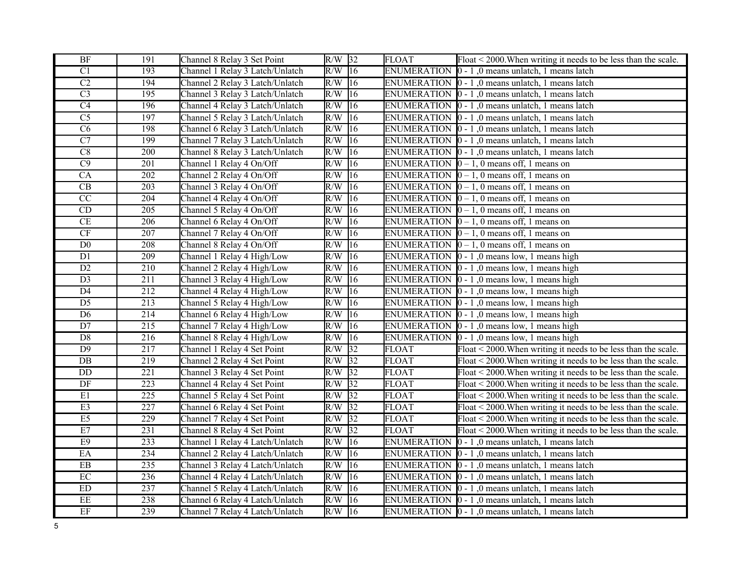| $\rm{BF}$                  | 191              | Channel 8 Relay 3 Set Point     | $R/W$ 32 |                 | <b>FLOAT</b>       | Float < 2000. When writing it needs to be less than the scale.    |
|----------------------------|------------------|---------------------------------|----------|-----------------|--------------------|-------------------------------------------------------------------|
| $\overline{C1}$            | 193              | Channel 1 Relay 3 Latch/Unlatch | R/W      | $\overline{16}$ | <b>ENUMERATION</b> | $\vert$ 0 - 1,0 means unlatch, 1 means latch                      |
| $\overline{C2}$            | 194              | Channel 2 Relay 3 Latch/Unlatch | R/W      | $ 16\rangle$    |                    | ENUMERATION  0 - 1,0 means unlatch, 1 means latch                 |
| $\overline{C}3$            | 195              | Channel 3 Relay 3 Latch/Unlatch | R/W      | 16              |                    | ENUMERATION $\vert 0 - 1 \vert$ , 0 means unlatch, 1 means latch  |
| $\overline{C4}$            | 196              | Channel 4 Relay 3 Latch/Unlatch | R/W      | 16              |                    | ENUMERATION $\vert 0 - 1 \vert$ , 0 means unlatch, 1 means latch  |
| $\overline{C5}$            | 197              | Channel 5 Relay 3 Latch/Unlatch | R/W      | 16              |                    | ENUMERATION $\vert 0 - 1 \vert$ , 0 means unlatch, 1 means latch  |
| $\overline{\text{C6}}$     | 198              | Channel 6 Relay 3 Latch/Unlatch | R/W      | 16              |                    | ENUMERATION $\vert 0 - 1 \vert$ , 0 means unlatch, 1 means latch  |
| $\overline{C7}$            | 199              | Channel 7 Relay 3 Latch/Unlatch | R/W      | $\overline{16}$ |                    | ENUMERATION $\vert 0 - 1 \vert$ , 0 means unlatch, 1 means latch  |
| $\overline{C8}$            | 200              | Channel 8 Relay 3 Latch/Unlatch | R/W      | 16              |                    | ENUMERATION $\vert 0 - 1 \vert$ , 0 means unlatch, 1 means latch  |
| $\overline{C9}$            | 201              | Channel 1 Relay 4 On/Off        | R/W      | 16              |                    | ENUMERATION $\vert 0-1, 0 \vert$ means off, 1 means on            |
| CA                         | $\overline{202}$ | Channel 2 Relay 4 On/Off        | R/W      | 16              |                    | ENUMERATION $\vert 0-1, 0 \vert$ means off, 1 means on            |
| $\operatorname{CB}$        | 203              | Channel 3 Relay 4 On/Off        | R/W      | 16              |                    | ENUMERATION $[0 - 1, 0$ means off, 1 means on                     |
| $\overline{CC}$            | 204              | Channel 4 Relay 4 On/Off        | R/W      | 16              |                    | ENUMERATION $\vert 0-1, 0 \vert$ means off, 1 means on            |
| $\mathop{\rm CD}$          | 205              | Channel 5 Relay 4 On/Off        | R/W      | 16              |                    | ENUMERATION $[0 - 1, 0$ means off, 1 means on                     |
| CE                         | 206              | Channel 6 Relay 4 On/Off        | R/W      | 16              |                    | ENUMERATION $[0 - 1, 0$ means off, 1 means on                     |
| CF                         | 207              | Channel 7 Relay 4 On/Off        | R/W      | 16              |                    | ENUMERATION $\vert 0-1, 0 \vert$ means off, 1 means on            |
| D <sub>0</sub>             | 208              | Channel 8 Relay 4 On/Off        | R/W      | 16              |                    | ENUMERATION $[0 - 1, 0$ means off, 1 means on                     |
| D1                         | 209              | Channel 1 Relay 4 High/Low      | R/W      | 16              |                    | ENUMERATION $\vert 0 - 1 \vert$ , 0 means low, 1 means high       |
| D2                         | $\overline{210}$ | Channel 2 Relay 4 High/Low      | R/W      | 16              |                    | ENUMERATION $\vert 0 - 1 \vert$ , 0 means low, 1 means high       |
| $\overline{D3}$            | $\overline{211}$ | Channel 3 Relay 4 High/Low      | R/W      | 16              |                    | ENUMERATION $\vert 0 - 1 \vert$ , 0 means low, 1 means high       |
| $\overline{D4}$            | 212              | Channel 4 Relay 4 High/Low      | R/W      | 16              |                    | ENUMERATION $\vert 0 - 1 \vert$ , 0 means low, 1 means high       |
| $\overline{D5}$            | 213              | Channel 5 Relay 4 High/Low      | R/W      | 16              |                    | ENUMERATION $\vert 0 - 1 \vert$ , 0 means low, 1 means high       |
| $\overline{D6}$            | 214              | Channel 6 Relay 4 High/Low      | R/W      | 16              |                    | ENUMERATION $\vert 0 - 1 \vert$ , 0 means low, 1 means high       |
| D7                         | 215              | Channel 7 Relay 4 High/Low      | R/W      | 16              |                    | ENUMERATION $\vert 0 - 1 \vert$ , 0 means low, 1 means high       |
| $\overline{D8}$            | $\overline{216}$ | Channel 8 Relay 4 High/Low      | R/W      | $ 16\rangle$    |                    | ENUMERATION $\vert 0 - 1 \vert$ , 0 means low, 1 means high       |
| $\overline{D9}$            | 217              | Channel 1 Relay 4 Set Point     | R/W      | 32              | <b>FLOAT</b>       | $F$ loat < 2000. When writing it needs to be less than the scale. |
| DB                         | 219              | Channel 2 Relay 4 Set Point     | R/W      | 32              | <b>FLOAT</b>       | $F$ loat < 2000. When writing it needs to be less than the scale. |
| $\overline{DD}$            | $\overline{221}$ | Channel 3 Relay 4 Set Point     | R/W      | $\sqrt{32}$     | <b>FLOAT</b>       | Float < 2000. When writing it needs to be less than the scale.    |
| $\rm DF$                   | 223              | Channel 4 Relay 4 Set Point     | R/W      | 32              | <b>FLOAT</b>       | Float < 2000. When writing it needs to be less than the scale.    |
| E1                         | $\overline{225}$ | Channel 5 Relay 4 Set Point     | R/W      | 32              | <b>FLOAT</b>       | Float < 2000. When writing it needs to be less than the scale.    |
| E3                         | $\overline{227}$ | Channel 6 Relay 4 Set Point     | R/W      | $\sqrt{32}$     | <b>FLOAT</b>       | $F$ loat < 2000. When writing it needs to be less than the scale. |
| E5                         | 229              | Channel 7 Relay 4 Set Point     | R/W      | 32              | <b>FLOAT</b>       | $F$ loat < 2000. When writing it needs to be less than the scale. |
| E7                         | $\overline{231}$ | Channel 8 Relay 4 Set Point     | R/W      | $\overline{32}$ | <b>FLOAT</b>       | $F$ loat < 2000. When writing it needs to be less than the scale. |
| E9                         | $\overline{233}$ | Channel 1 Relay 4 Latch/Unlatch | R/W      | 16              | <b>ENUMERATION</b> | $ 0 - 1 $ , 0 means unlatch, 1 means latch                        |
| EA                         | 234              | Channel 2 Relay 4 Latch/Unlatch | R/W      | $\overline{16}$ | <b>ENUMERATION</b> | $\vert$ 0 - 1,0 means unlatch, 1 means latch                      |
| $\boldsymbol{\mathrm{EB}}$ | $\overline{235}$ | Channel 3 Relay 4 Latch/Unlatch | R/W      | 16              |                    | ENUMERATION $\vert 0 - 1 \vert$ , 0 means unlatch, 1 means latch  |
| EC                         | 236              | Channel 4 Relay 4 Latch/Unlatch | R/W      | 16              |                    | ENUMERATION $\vert 0 - 1 \vert$ , 0 means unlatch, 1 means latch  |
| ${\rm ED}$                 | 237              | Channel 5 Relay 4 Latch/Unlatch | R/W      | 16              |                    | ENUMERATION $\vert 0 - 1 \vert$ , 0 means unlatch, 1 means latch  |
| $\overline{\text{EE}}$     | 238              | Channel 6 Relay 4 Latch/Unlatch | R/W      | 16              |                    | ENUMERATION 0 - 1,0 means unlatch, 1 means latch                  |
| EF                         | $\overline{239}$ | Channel 7 Relay 4 Latch/Unlatch | $R/W$ 16 |                 |                    | ENUMERATION $\vert 0 - 1 \vert$ , 0 means unlatch, 1 means latch  |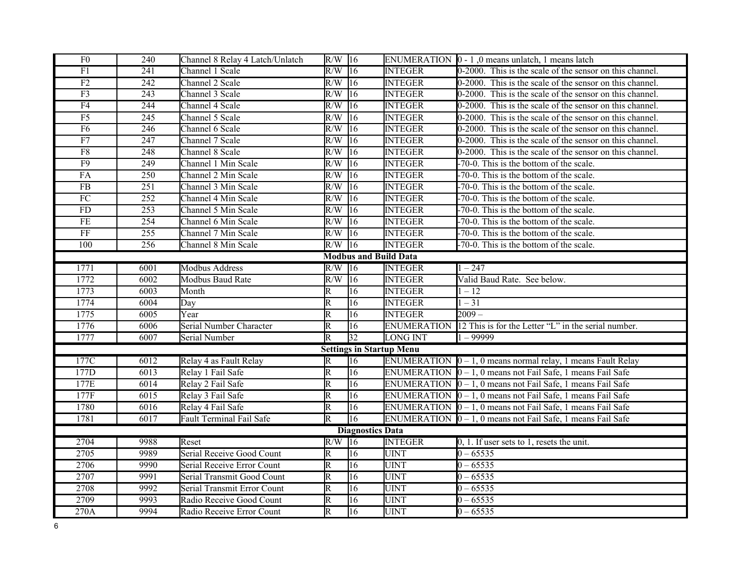| F <sub>0</sub>               | 240               | Channel 8 Relay 4 Latch/Unlatch | $R/W$ 16                |                         |                                 | ENUMERATION $\vert 0 - 1 \vert$ , 0 means unlatch, 1 means latch     |  |  |
|------------------------------|-------------------|---------------------------------|-------------------------|-------------------------|---------------------------------|----------------------------------------------------------------------|--|--|
| $\overline{F1}$              | 241               | Channel 1 Scale                 | $R/W$ 16                |                         | <b>INTEGER</b>                  | 0-2000. This is the scale of the sensor on this channel.             |  |  |
| F2                           | 242               | Channel 2 Scale                 | $R/W$ 16                |                         | <b>INTEGER</b>                  | 0-2000. This is the scale of the sensor on this channel.             |  |  |
| $\overline{F3}$              | 243               | Channel 3 Scale                 | R/W                     | 16                      | <b>INTEGER</b>                  | 0-2000. This is the scale of the sensor on this channel.             |  |  |
| F4                           | 244               | Channel 4 Scale                 | R/W                     | 16                      | <b>INTEGER</b>                  | 0-2000. This is the scale of the sensor on this channel.             |  |  |
| F <sub>5</sub>               | 245               | Channel 5 Scale                 | R/W                     | 16                      | <b>INTEGER</b>                  | 0-2000. This is the scale of the sensor on this channel.             |  |  |
| F <sub>6</sub>               | 246               | Channel 6 Scale                 | R/W                     | 16                      | <b>INTEGER</b>                  | 0-2000. This is the scale of the sensor on this channel.             |  |  |
| $\overline{F7}$              | 247               | Channel 7 Scale                 | R/W                     | 16                      | <b>INTEGER</b>                  | 0-2000. This is the scale of the sensor on this channel.             |  |  |
| F8                           | 248               | Channel 8 Scale                 | R/W                     | 16                      | <b>INTEGER</b>                  | 0-2000. This is the scale of the sensor on this channel.             |  |  |
| F9                           | 249               | Channel 1 Min Scale             | R/W                     | 16                      | <b>INTEGER</b>                  | -70-0. This is the bottom of the scale.                              |  |  |
| FA                           | 250               | Channel 2 Min Scale             | R/W                     | 16                      | <b>INTEGER</b>                  | -70-0. This is the bottom of the scale.                              |  |  |
| FB                           | 251               | Channel 3 Min Scale             | R/W                     | 16                      | <b>INTEGER</b>                  | -70-0. This is the bottom of the scale.                              |  |  |
| ${\rm FC}$                   | 252               | Channel 4 Min Scale             | R/W                     | 16                      | <b>INTEGER</b>                  | -70-0. This is the bottom of the scale.                              |  |  |
| FD                           | $\overline{253}$  | Channel 5 Min Scale             | $R/W$ 16                |                         | <b>INTEGER</b>                  | -70-0. This is the bottom of the scale.                              |  |  |
| $\overline{\text{FE}}$       | 254               | Channel 6 Min Scale             | $R/W$ 16                |                         | <b>INTEGER</b>                  | -70-0. This is the bottom of the scale.                              |  |  |
| $\overline{\text{FF}}$       | 255               | Channel 7 Min Scale             | $R/W$ 16                |                         | <b>INTEGER</b>                  | -70-0. This is the bottom of the scale.                              |  |  |
| 100                          | 256               | Channel 8 Min Scale             | $R/W$ 16                |                         | <b>INTEGER</b>                  | -70-0. This is the bottom of the scale.                              |  |  |
| <b>Modbus and Build Data</b> |                   |                                 |                         |                         |                                 |                                                                      |  |  |
| 1771                         | $\overline{6001}$ | <b>Modbus Address</b>           | $R/W$ 16                |                         | <b>INTEGER</b>                  | $1 - 247$                                                            |  |  |
| 1772                         | 6002              | Modbus Baud Rate                | $R/W$ 16                |                         | <b>INTEGER</b>                  | Valid Baud Rate. See below.                                          |  |  |
| 1773                         | 6003              | Month                           | $\overline{\mathrm{R}}$ | 16                      | <b>INTEGER</b>                  | $1 - 12$                                                             |  |  |
| 1774                         | 6004              | Day                             | $\overline{\mathsf{R}}$ | 16                      | <b>INTEGER</b>                  | $1 - 31$                                                             |  |  |
| 1775                         | 6005              | Year                            | $\overline{\mathbb{R}}$ | 16                      | <b>INTEGER</b>                  | $2009 -$                                                             |  |  |
| 1776                         | 6006              | Serial Number Character         | $\overline{\mathrm{R}}$ | 16                      | <b>ENUMERATION</b>              | 12 This is for the Letter "L" in the serial number.                  |  |  |
| 1777                         | 6007              | Serial Number                   | $\overline{\mathrm{R}}$ | $\overline{32}$         | <b>LONG INT</b>                 | $1 - 99999$                                                          |  |  |
|                              |                   |                                 |                         |                         | <b>Settings in Startup Menu</b> |                                                                      |  |  |
| 177C                         | 6012              | Relay 4 as Fault Relay          | R                       | 16                      |                                 | ENUMERATION $[0 - 1, 0$ means normal relay, 1 means Fault Relay      |  |  |
| 177D                         | 6013              | Relay 1 Fail Safe               | $\overline{\mathrm{R}}$ | $\overline{16}$         |                                 | ENUMERATION $\vert 0 - 1$ , 0 means not Fail Safe, 1 means Fail Safe |  |  |
| 177E                         | 6014              | Relay 2 Fail Safe               | $\overline{\mathrm{R}}$ | 16                      |                                 | ENUMERATION $\vert 0 - 1$ , 0 means not Fail Safe, 1 means Fail Safe |  |  |
| 177F                         | 6015              | Relay 3 Fail Safe               | $\overline{\mathrm{R}}$ | 16                      |                                 | ENUMERATION $[0 - 1, 0$ means not Fail Safe, 1 means Fail Safe       |  |  |
| 1780                         | 6016              | Relay 4 Fail Safe               | R                       | 16                      |                                 | ENUMERATION $\vert 0 - 1$ , 0 means not Fail Safe, 1 means Fail Safe |  |  |
| 1781                         | 6017              | Fault Terminal Fail Safe        | $\overline{\mathrm{R}}$ | 16                      |                                 | ENUMERATION $[0 - 1, 0$ means not Fail Safe, 1 means Fail Safe       |  |  |
|                              |                   |                                 |                         | <b>Diagnostics Data</b> |                                 |                                                                      |  |  |
| 2704                         | 9988              | Reset                           | $R/W$ 16                |                         | <b>INTEGER</b>                  | $0, 1$ . If user sets to 1, resets the unit.                         |  |  |
| 2705                         | 9989              | Serial Receive Good Count       | R                       | 16                      | <b>UINT</b>                     | $0 - 65535$                                                          |  |  |
| 2706                         | 9990              | Serial Receive Error Count      | $\overline{\mathrm{R}}$ | 16                      | <b>UINT</b>                     | $0 - 65535$                                                          |  |  |
| 2707                         | 9991              | Serial Transmit Good Count      | $\overline{\mathrm{R}}$ | 16                      | <b>UINT</b>                     | $0 - 65535$                                                          |  |  |
| 2708                         | 9992              | Serial Transmit Error Count     | $\overline{\mathrm{R}}$ | 16                      | <b>UINT</b>                     | $0 - 65535$                                                          |  |  |
| 2709                         | 9993              | Radio Receive Good Count        | $\overline{\mathrm{R}}$ | 16                      | <b>UINT</b>                     | $0 - 65535$                                                          |  |  |
| 270A                         | 9994              | Radio Receive Error Count       | R                       | 16                      | <b>UINT</b>                     | $0 - 65535$                                                          |  |  |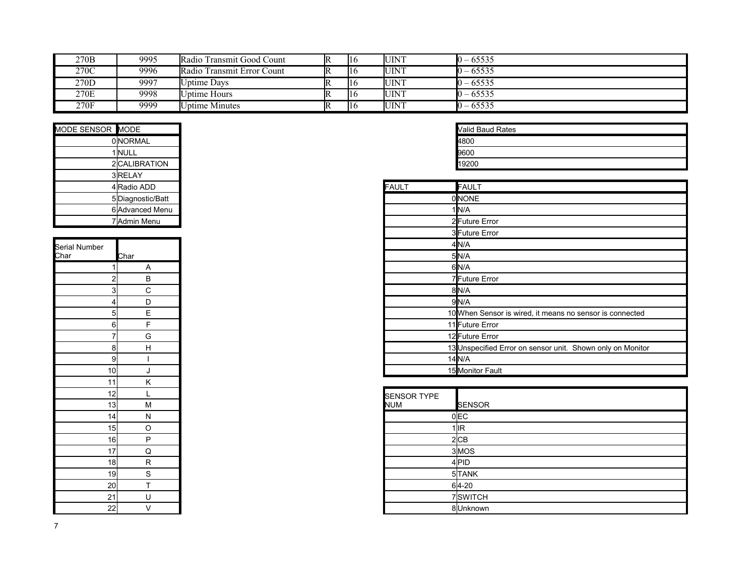| 270B | 9995 | Radio Transmit Good Count  | $\mathbb{R}$ | <b>UINT</b>  | $10 - 65535$ |
|------|------|----------------------------|--------------|--------------|--------------|
| 270C | 9996 | Radio Transmit Error Count | $\mathbb{R}$ | <b>UINT</b>  | $10 - 65535$ |
| 270D | 9997 | <b>Uptime Days</b>         | $\mathbb{R}$ | <b>IUINT</b> | $10 - 65535$ |
| 270E | 9998 | Uptime Hours               | $\mathbb{R}$ | <b>UINT</b>  | $10 - 65535$ |
| 270F | 9999 | <b>Uptime Minutes</b>      | $\mathbb{R}$ | <b>UINT</b>  | $10 - 65535$ |

| <b>OINORMAL</b><br>1 NULL<br>2 CALIBRATION<br>3 RELAY | <b>Valid Baud Rates</b> |
|-------------------------------------------------------|-------------------------|
|                                                       | 4800                    |
|                                                       | 9600                    |
|                                                       | 19200                   |
|                                                       |                         |
| <b>FAULT</b><br>4 Radio ADD                           | <b>FAULT</b>            |
| 5Diagnostic/Batt                                      | <b>ONONE</b>            |
| 6 Advanced Menu                                       | 1 <b>IN/A</b>           |
| 7 Admin Menu                                          | 2 Future Error          |

| Serial Number |                     |
|---------------|---------------------|
| <u>Char</u>   | Char                |
| 1             | Α                   |
|               | $\overline{2}$<br>B |
|               | 3<br>С              |
|               | D<br>4              |
|               | E<br>5              |
|               | F<br>6              |
| 7             | G                   |
|               | H<br>8              |
| 9             | I                   |
| 10            | J                   |
| 11            | K                   |
| 12            | L                   |
| 13            | M                   |
| 14            | N                   |
| 15            | O                   |
| 16            | P                   |
| 17            | Q                   |
| 18            | R                   |
| 19            | S                   |
| 20            | T                   |
| 21            | U                   |
| 22            | V                   |

| <b>Valid Baud Rates</b> |
|-------------------------|
| 4800                    |
| 9600                    |
| 9200                    |

| 4 Radio ADD         | FAULT | <b>FAULT</b>                                               |
|---------------------|-------|------------------------------------------------------------|
| 5Diagnostic/Batt    |       | 0NONE                                                      |
| 6 Advanced Menu     |       | $1$ N/A                                                    |
| 7 Admin Menu        |       | 2Future Error                                              |
|                     |       | 3 Future Error                                             |
|                     |       | 4N/A                                                       |
| Char                |       | 5N/A                                                       |
| A                   |       | 6N/A                                                       |
| $\overline{c}$<br>B |       | 7Future Error                                              |
| 3<br>C              |       | 8N/A                                                       |
| D                   |       | 9N/A                                                       |
| 5<br>Е              |       | 10 When Sensor is wired, it means no sensor is connected   |
| $6 \overline{}$     |       | 11 Future Error                                            |
| 7<br>G              |       | 12 Future Error                                            |
| 8<br>H              |       | 13 Unspecified Error on sensor unit. Shown only on Monitor |
| 9                   |       | $14$ <sub>N/A</sub>                                        |
| 10 <sub>l</sub>     |       | 15 Monitor Fault                                           |

| $\cdot$ $\cdot$ | $\cdot$ $\cdot$ |                             |  |
|-----------------|-----------------|-----------------------------|--|
| 12              |                 | <b>SENSOR TYPE</b>          |  |
| 13              | M               | <b>NUM</b><br><b>SENSOR</b> |  |
| 14              | N               | $0$ EC                      |  |
| 15              | $\Omega$        | $1$ IR                      |  |
| 16              | D               | 2 CB                        |  |
| 17              | Q               | 3MOS                        |  |
| 18              | R.              | 4PID                        |  |
| 19              | $\sim$          | 5TANK                       |  |
| 2이              |                 | $64 - 20$                   |  |
| 21              | U               | 7SWITCH                     |  |
| 22              |                 | 8Unknown                    |  |